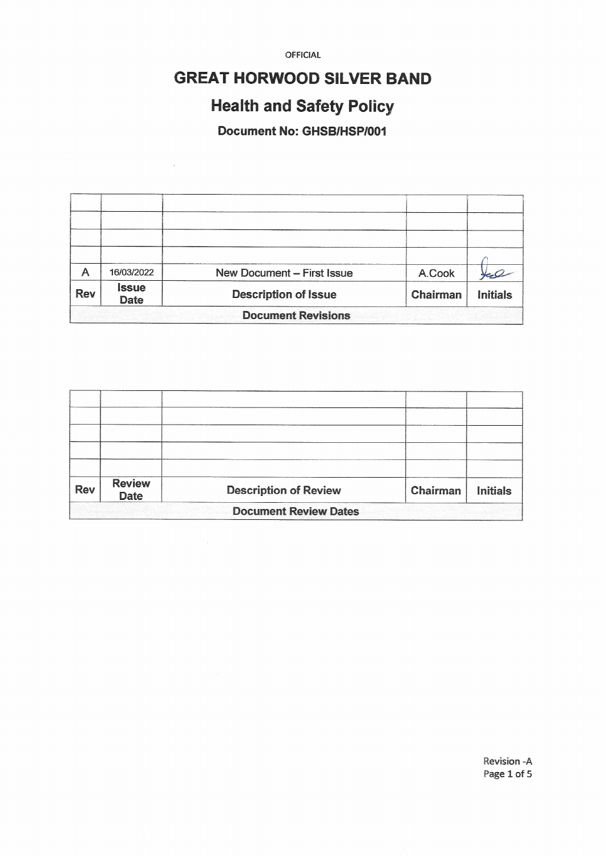## **GREAT HORWOOD SILVER BAND**

# **Health and Safety Policy**

Document No: GHSB/HSP/001

 $\hat{\mathcal{L}}$ 

| A                         | 16/03/2022                  | New Document - First Issue  | A.Cook   |                 |  |  |  |
|---------------------------|-----------------------------|-----------------------------|----------|-----------------|--|--|--|
| <b>Rev</b>                | <b>Issue</b><br><b>Date</b> | <b>Description of Issue</b> | Chairman | <b>Initials</b> |  |  |  |
| <b>Document Revisions</b> |                             |                             |          |                 |  |  |  |

| <b>Rev</b>                   | <b>Review</b><br><b>Date</b> | <b>Description of Review</b> | Chairman | <b>Initials</b> |  |  |  |
|------------------------------|------------------------------|------------------------------|----------|-----------------|--|--|--|
| <b>Document Review Dates</b> |                              |                              |          |                 |  |  |  |

Revision - A Page 1 of 5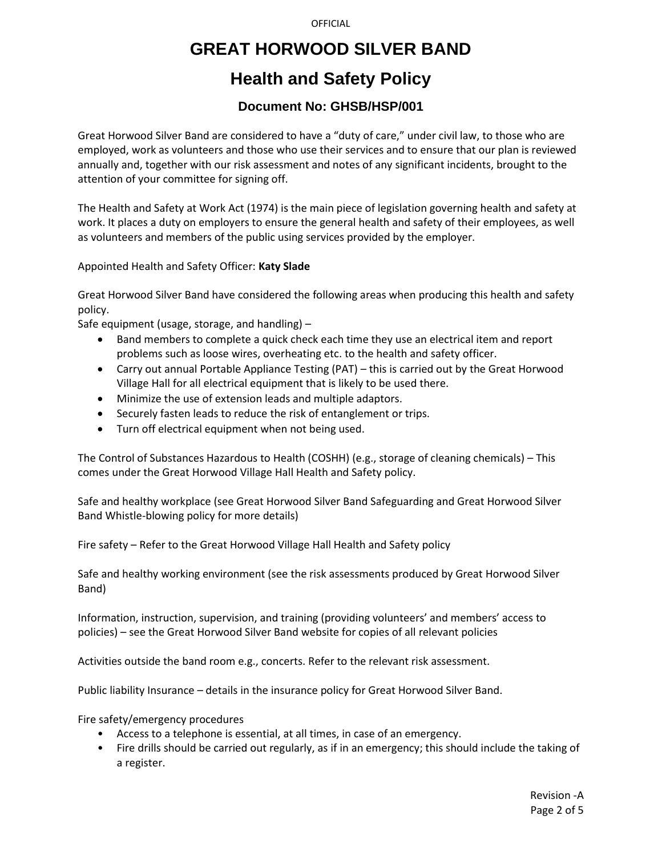## **GREAT HORWOOD SILVER BAND**

## **Health and Safety Policy**

### **Document No: GHSB/HSP/001**

Great Horwood Silver Band are considered to have a "duty of care," under civil law, to those who are employed, work as volunteers and those who use their services and to ensure that our plan is reviewed annually and, together with our risk assessment and notes of any significant incidents, brought to the attention of your committee for signing off.

The Health and Safety at Work Act (1974) is the main piece of legislation governing health and safety at work. It places a duty on employers to ensure the general health and safety of their employees, as well as volunteers and members of the public using services provided by the employer.

Appointed Health and Safety Officer: **Katy Slade**

Great Horwood Silver Band have considered the following areas when producing this health and safety policy.

Safe equipment (usage, storage, and handling) –

- Band members to complete a quick check each time they use an electrical item and report problems such as loose wires, overheating etc. to the health and safety officer.
- Carry out annual Portable Appliance Testing (PAT) this is carried out by the Great Horwood Village Hall for all electrical equipment that is likely to be used there.
- Minimize the use of extension leads and multiple adaptors.
- Securely fasten leads to reduce the risk of entanglement or trips.
- Turn off electrical equipment when not being used.

The Control of Substances Hazardous to Health (COSHH) (e.g., storage of cleaning chemicals) – This comes under the Great Horwood Village Hall Health and Safety policy.

Safe and healthy workplace (see Great Horwood Silver Band Safeguarding and Great Horwood Silver Band Whistle-blowing policy for more details)

Fire safety – Refer to the Great Horwood Village Hall Health and Safety policy

Safe and healthy working environment (see the risk assessments produced by Great Horwood Silver Band)

Information, instruction, supervision, and training (providing volunteers' and members' access to policies) – see the Great Horwood Silver Band website for copies of all relevant policies

Activities outside the band room e.g., concerts. Refer to the relevant risk assessment.

Public liability Insurance – details in the insurance policy for Great Horwood Silver Band.

Fire safety/emergency procedures

- Access to a telephone is essential, at all times, in case of an emergency.
- Fire drills should be carried out regularly, as if in an emergency; this should include the taking of a register.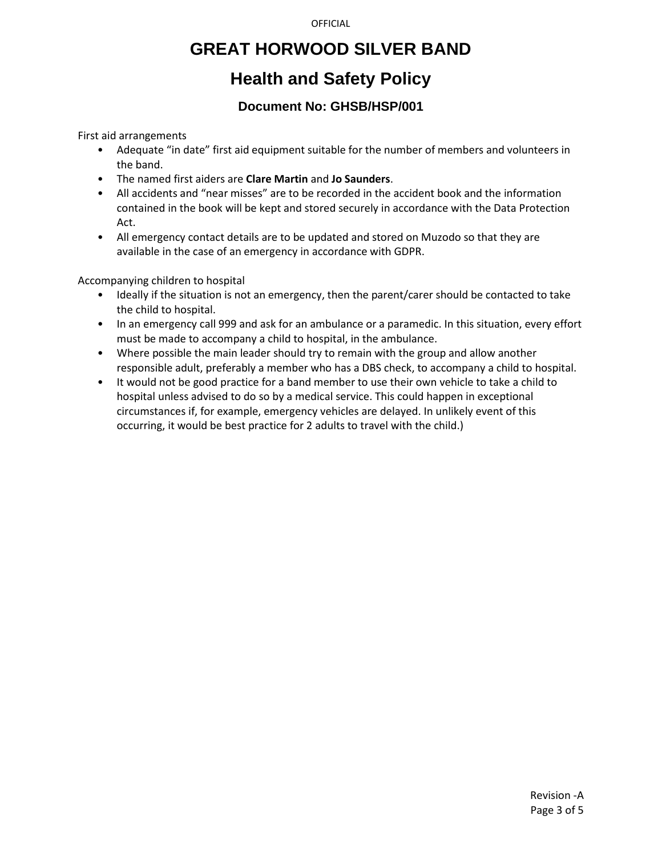## **GREAT HORWOOD SILVER BAND**

## **Health and Safety Policy**

### **Document No: GHSB/HSP/001**

First aid arrangements

- Adequate "in date" first aid equipment suitable for the number of members and volunteers in the band.
- The named first aiders are **Clare Martin** and **Jo Saunders**.
- All accidents and "near misses" are to be recorded in the accident book and the information contained in the book will be kept and stored securely in accordance with the Data Protection Act.
- All emergency contact details are to be updated and stored on Muzodo so that they are available in the case of an emergency in accordance with GDPR.

Accompanying children to hospital

- Ideally if the situation is not an emergency, then the parent/carer should be contacted to take the child to hospital.
- In an emergency call 999 and ask for an ambulance or a paramedic. In this situation, every effort must be made to accompany a child to hospital, in the ambulance.
- Where possible the main leader should try to remain with the group and allow another responsible adult, preferably a member who has a DBS check, to accompany a child to hospital.
- It would not be good practice for a band member to use their own vehicle to take a child to hospital unless advised to do so by a medical service. This could happen in exceptional circumstances if, for example, emergency vehicles are delayed. In unlikely event of this occurring, it would be best practice for 2 adults to travel with the child.)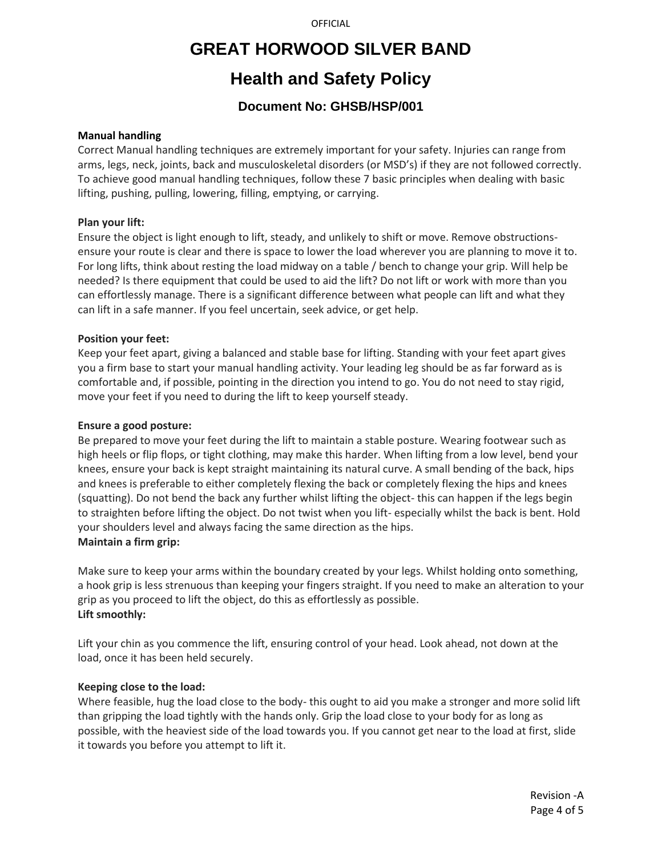## **GREAT HORWOOD SILVER BAND**

### **Health and Safety Policy**

### **Document No: GHSB/HSP/001**

#### **Manual handling**

Correct Manual handling techniques are extremely important for your safety. Injuries can range from arms, legs, neck, joints, back and musculoskeletal disorders (or MSD's) if they are not followed correctly. To achieve good manual handling techniques, follow these 7 basic principles when dealing with basic lifting, pushing, pulling, lowering, filling, emptying, or carrying.

### **Plan your lift:**

Ensure the object is light enough to lift, steady, and unlikely to shift or move. Remove obstructionsensure your route is clear and there is space to lower the load wherever you are planning to move it to. For long lifts, think about resting the load midway on a table / bench to change your grip. Will help be needed? Is there equipment that could be used to aid the lift? Do not lift or work with more than you can effortlessly manage. There is a significant difference between what people can lift and what they can lift in a safe manner. If you feel uncertain, seek advice, or get help.

### **Position your feet:**

Keep your feet apart, giving a balanced and stable base for lifting. Standing with your feet apart gives you a firm base to start your manual handling activity. Your leading leg should be as far forward as is comfortable and, if possible, pointing in the direction you intend to go. You do not need to stay rigid, move your feet if you need to during the lift to keep yourself steady.

#### **Ensure a good posture:**

Be prepared to move your feet during the lift to maintain a stable posture. Wearing footwear such as high heels or flip flops, or tight clothing, may make this harder. When lifting from a low level, bend your knees, ensure your back is kept straight maintaining its natural curve. A small bending of the back, hips and knees is preferable to either completely flexing the back or completely flexing the hips and knees (squatting). Do not bend the back any further whilst lifting the object- this can happen if the legs begin to straighten before lifting the object. Do not twist when you lift- especially whilst the back is bent. Hold your shoulders level and always facing the same direction as the hips. **Maintain a firm grip:**

Make sure to keep your arms within the boundary created by your legs. Whilst holding onto something, a hook grip is less strenuous than keeping your fingers straight. If you need to make an alteration to your grip as you proceed to lift the object, do this as effortlessly as possible. **Lift smoothly:**

Lift your chin as you commence the lift, ensuring control of your head. Look ahead, not down at the load, once it has been held securely.

### **Keeping close to the load:**

Where feasible, hug the load close to the body- this ought to aid you make a stronger and more solid lift than gripping the load tightly with the hands only. Grip the load close to your body for as long as possible, with the heaviest side of the load towards you. If you cannot get near to the load at first, slide it towards you before you attempt to lift it.